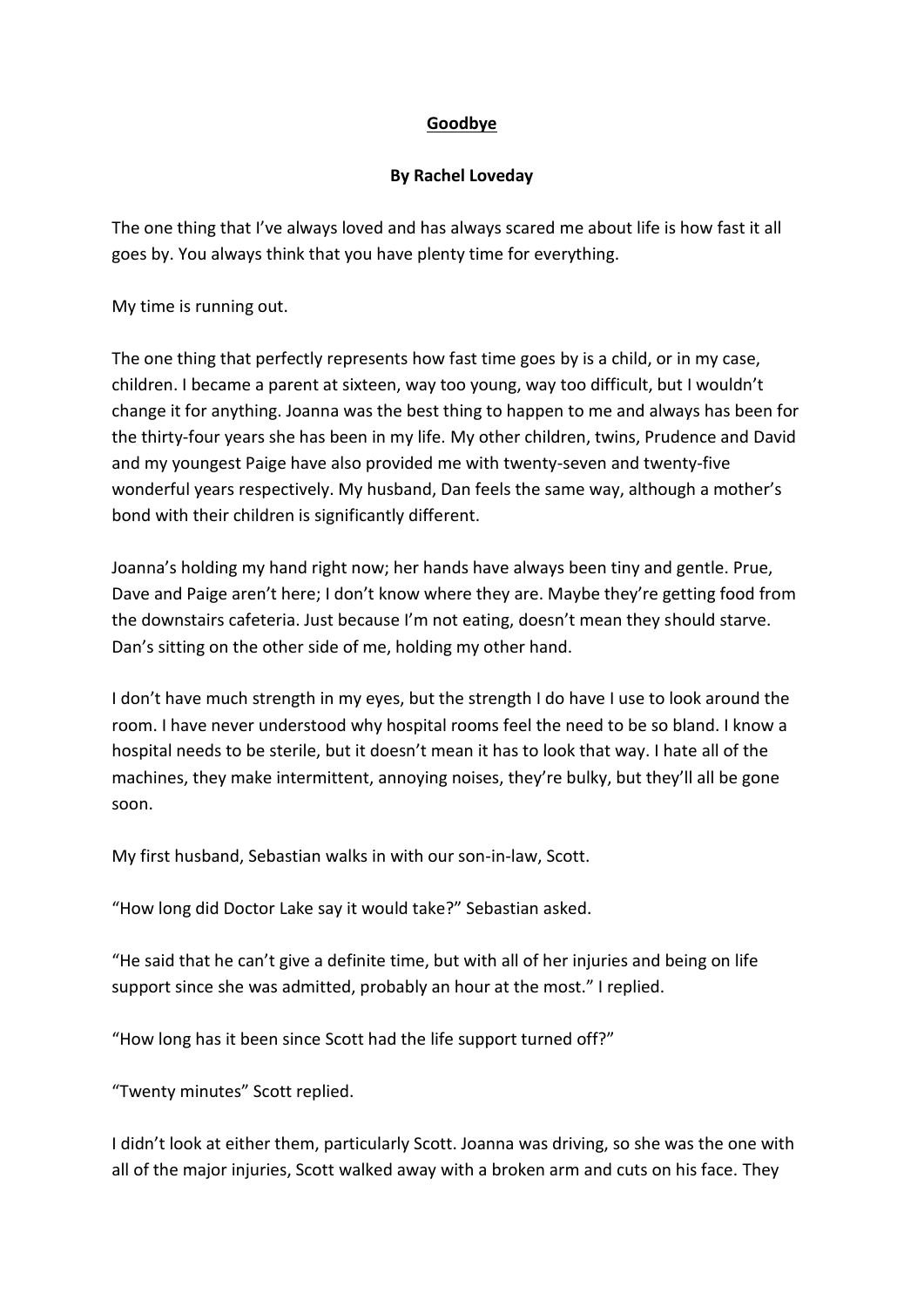## **Goodbye**

## **By Rachel Loveday**

The one thing that I've always loved and has always scared me about life is how fast it all goes by. You always think that you have plenty time for everything.

My time is running out.

The one thing that perfectly represents how fast time goes by is a child, or in my case, children. I became a parent at sixteen, way too young, way too difficult, but I wouldn't change it for anything. Joanna was the best thing to happen to me and always has been for the thirty-four years she has been in my life. My other children, twins, Prudence and David and my youngest Paige have also provided me with twenty-seven and twenty-five wonderful years respectively. My husband, Dan feels the same way, although a mother's bond with their children is significantly different.

Joanna's holding my hand right now; her hands have always been tiny and gentle. Prue, Dave and Paige aren't here; I don't know where they are. Maybe they're getting food from the downstairs cafeteria. Just because I'm not eating, doesn't mean they should starve. Dan's sitting on the other side of me, holding my other hand.

I don't have much strength in my eyes, but the strength I do have I use to look around the room. I have never understood why hospital rooms feel the need to be so bland. I know a hospital needs to be sterile, but it doesn't mean it has to look that way. I hate all of the machines, they make intermittent, annoying noises, they're bulky, but they'll all be gone soon.

My first husband, Sebastian walks in with our son-in-law, Scott.

"How long did Doctor Lake say it would take?" Sebastian asked.

"He said that he can't give a definite time, but with all of her injuries and being on life support since she was admitted, probably an hour at the most." I replied.

"How long has it been since Scott had the life support turned off?"

"Twenty minutes" Scott replied.

I didn't look at either them, particularly Scott. Joanna was driving, so she was the one with all of the major injuries, Scott walked away with a broken arm and cuts on his face. They